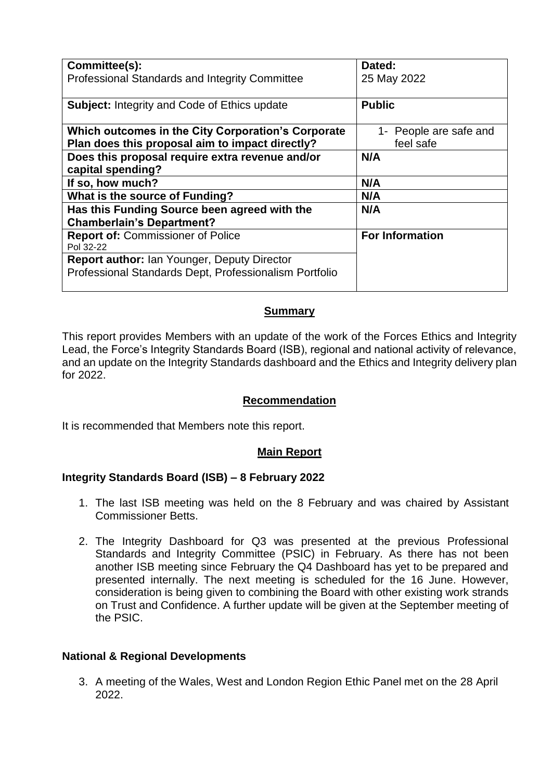| Committee(s):                                          | Dated:                 |
|--------------------------------------------------------|------------------------|
| Professional Standards and Integrity Committee         | 25 May 2022            |
|                                                        |                        |
| <b>Subject: Integrity and Code of Ethics update</b>    | <b>Public</b>          |
|                                                        |                        |
| Which outcomes in the City Corporation's Corporate     | 1- People are safe and |
| Plan does this proposal aim to impact directly?        | feel safe              |
| Does this proposal require extra revenue and/or        | N/A                    |
| capital spending?                                      |                        |
| If so, how much?                                       | N/A                    |
| What is the source of Funding?                         | N/A                    |
| Has this Funding Source been agreed with the           | N/A                    |
| <b>Chamberlain's Department?</b>                       |                        |
| <b>Report of: Commissioner of Police</b>               | <b>For Information</b> |
| Pol 32-22                                              |                        |
| <b>Report author: Ian Younger, Deputy Director</b>     |                        |
| Professional Standards Dept, Professionalism Portfolio |                        |
|                                                        |                        |

# **Summary**

This report provides Members with an update of the work of the Forces Ethics and Integrity Lead, the Force's Integrity Standards Board (ISB), regional and national activity of relevance, and an update on the Integrity Standards dashboard and the Ethics and Integrity delivery plan for 2022.

## **Recommendation**

It is recommended that Members note this report.

#### **Main Report**

## **Integrity Standards Board (ISB) – 8 February 2022**

- 1. The last ISB meeting was held on the 8 February and was chaired by Assistant Commissioner Betts.
- 2. The Integrity Dashboard for Q3 was presented at the previous Professional Standards and Integrity Committee (PSIC) in February. As there has not been another ISB meeting since February the Q4 Dashboard has yet to be prepared and presented internally. The next meeting is scheduled for the 16 June. However, consideration is being given to combining the Board with other existing work strands on Trust and Confidence. A further update will be given at the September meeting of the PSIC.

## **National & Regional Developments**

3. A meeting of the Wales, West and London Region Ethic Panel met on the 28 April 2022.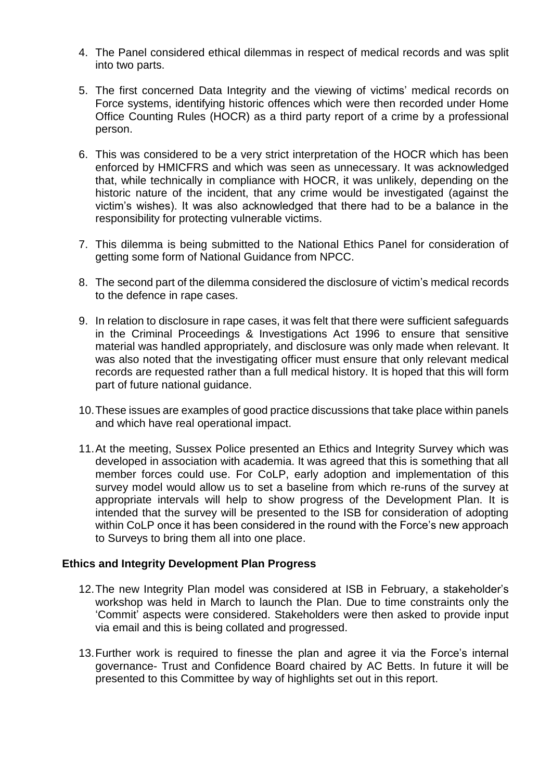- 4. The Panel considered ethical dilemmas in respect of medical records and was split into two parts.
- 5. The first concerned Data Integrity and the viewing of victims' medical records on Force systems, identifying historic offences which were then recorded under Home Office Counting Rules (HOCR) as a third party report of a crime by a professional person.
- 6. This was considered to be a very strict interpretation of the HOCR which has been enforced by HMICFRS and which was seen as unnecessary. It was acknowledged that, while technically in compliance with HOCR, it was unlikely, depending on the historic nature of the incident, that any crime would be investigated (against the victim's wishes). It was also acknowledged that there had to be a balance in the responsibility for protecting vulnerable victims.
- 7. This dilemma is being submitted to the National Ethics Panel for consideration of getting some form of National Guidance from NPCC.
- 8. The second part of the dilemma considered the disclosure of victim's medical records to the defence in rape cases.
- 9. In relation to disclosure in rape cases, it was felt that there were sufficient safeguards in the Criminal Proceedings & Investigations Act 1996 to ensure that sensitive material was handled appropriately, and disclosure was only made when relevant. It was also noted that the investigating officer must ensure that only relevant medical records are requested rather than a full medical history. It is hoped that this will form part of future national guidance.
- 10.These issues are examples of good practice discussions that take place within panels and which have real operational impact.
- 11.At the meeting, Sussex Police presented an Ethics and Integrity Survey which was developed in association with academia. It was agreed that this is something that all member forces could use. For CoLP, early adoption and implementation of this survey model would allow us to set a baseline from which re-runs of the survey at appropriate intervals will help to show progress of the Development Plan. It is intended that the survey will be presented to the ISB for consideration of adopting within CoLP once it has been considered in the round with the Force's new approach to Surveys to bring them all into one place.

#### **Ethics and Integrity Development Plan Progress**

- 12.The new Integrity Plan model was considered at ISB in February, a stakeholder's workshop was held in March to launch the Plan. Due to time constraints only the 'Commit' aspects were considered. Stakeholders were then asked to provide input via email and this is being collated and progressed.
- 13.Further work is required to finesse the plan and agree it via the Force's internal governance- Trust and Confidence Board chaired by AC Betts. In future it will be presented to this Committee by way of highlights set out in this report.